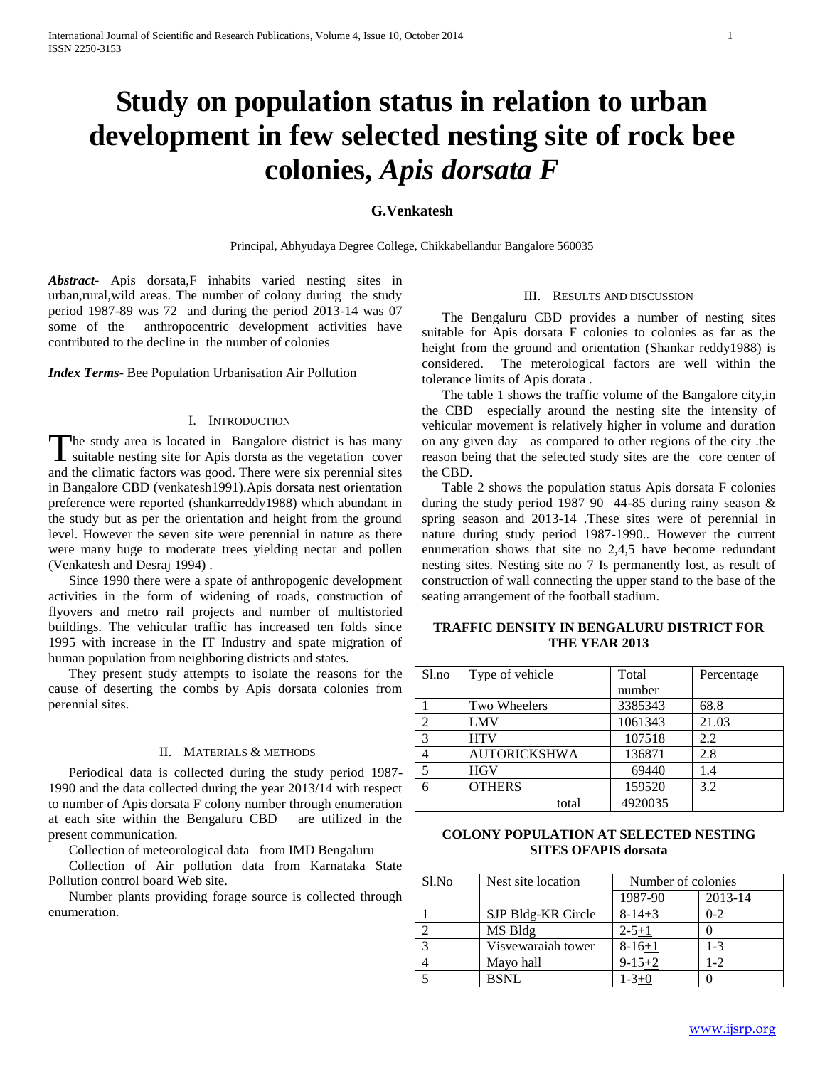# **Study on population status in relation to urban development in few selected nesting site of rock bee colonies,** *Apis dorsata F*

# **G.Venkatesh**

Principal, Abhyudaya Degree College, Chikkabellandur Bangalore 560035

*Abstract***-** Apis dorsata,F inhabits varied nesting sites in urban,rural,wild areas. The number of colony during the study period 1987-89 was 72 and during the period 2013-14 was 07 some of the anthropocentric development activities have contributed to the decline in the number of colonies

*Index Terms*- Bee Population Urbanisation Air Pollution

## I. INTRODUCTION

he study area is located in Bangalore district is has many The study area is located in Bangalore district is has many suitable nesting site for Apis dorsta as the vegetation cover and the climatic factors was good. There were six perennial sites in Bangalore CBD (venkatesh1991).Apis dorsata nest orientation preference were reported (shankarreddy1988) which abundant in the study but as per the orientation and height from the ground level. However the seven site were perennial in nature as there were many huge to moderate trees yielding nectar and pollen (Venkatesh and Desraj 1994) .

 Since 1990 there were a spate of anthropogenic development activities in the form of widening of roads, construction of flyovers and metro rail projects and number of multistoried buildings. The vehicular traffic has increased ten folds since 1995 with increase in the IT Industry and spate migration of human population from neighboring districts and states.

 They present study attempts to isolate the reasons for the cause of deserting the combs by Apis dorsata colonies from perennial sites.

## II. MATERIALS & METHODS

 Periodical data is collec**t**ed during the study period 1987- 1990 and the data collected during the year 2013/14 with respect to number of Apis dorsata F colony number through enumeration at each site within the Bengaluru CBD are utilized in the present communication.

Collection of meteorological data from IMD Bengaluru

 Collection of Air pollution data from Karnataka State Pollution control board Web site.

 Number plants providing forage source is collected through enumeration.

### III. RESULTS AND DISCUSSION

 The Bengaluru CBD provides a number of nesting sites suitable for Apis dorsata F colonies to colonies as far as the height from the ground and orientation (Shankar reddy1988) is considered. The meterological factors are well within the tolerance limits of Apis dorata .

 The table 1 shows the traffic volume of the Bangalore city,in the CBD especially around the nesting site the intensity of vehicular movement is relatively higher in volume and duration on any given day as compared to other regions of the city .the reason being that the selected study sites are the core center of the CBD.

 Table 2 shows the population status Apis dorsata F colonies during the study period 1987 90 44-85 during rainy season & spring season and 2013-14 .These sites were of perennial in nature during study period 1987-1990.. However the current enumeration shows that site no 2,4,5 have become redundant nesting sites. Nesting site no 7 Is permanently lost, as result of construction of wall connecting the upper stand to the base of the seating arrangement of the football stadium.

# **TRAFFIC DENSITY IN BENGALURU DISTRICT FOR THE YEAR 2013**

| Sl.no          | Type of vehicle     | Total   | Percentage |
|----------------|---------------------|---------|------------|
|                |                     | number  |            |
|                | Two Wheelers        | 3385343 | 68.8       |
| $\overline{c}$ | LMV                 | 1061343 | 21.03      |
| 3              | <b>HTV</b>          | 107518  | 2.2        |
|                | <b>AUTORICKSHWA</b> | 136871  | 2.8        |
| 5              | <b>HGV</b>          | 69440   | 1.4        |
| 6              | <b>OTHERS</b>       | 159520  | 3.2        |
|                | total               | 4920035 |            |

## **COLONY POPULATION AT SELECTED NESTING SITES OFAPIS dorsata**

| Sl.No | Nest site location | Number of colonies |         |
|-------|--------------------|--------------------|---------|
|       |                    | 1987-90            | 2013-14 |
|       | SJP Bldg-KR Circle | $8-14+3$           | $0 - 2$ |
| ◠     | MS Bldg            | $2 - 5 + 1$        |         |
| 3     | Visvewaraiah tower | $8-16+1$           | $1 - 3$ |
|       | Mayo hall          | $9 - 15 + 2$       | $1 - 2$ |
|       | <b>BSNL</b>        | $1 - 3 + 0$        |         |